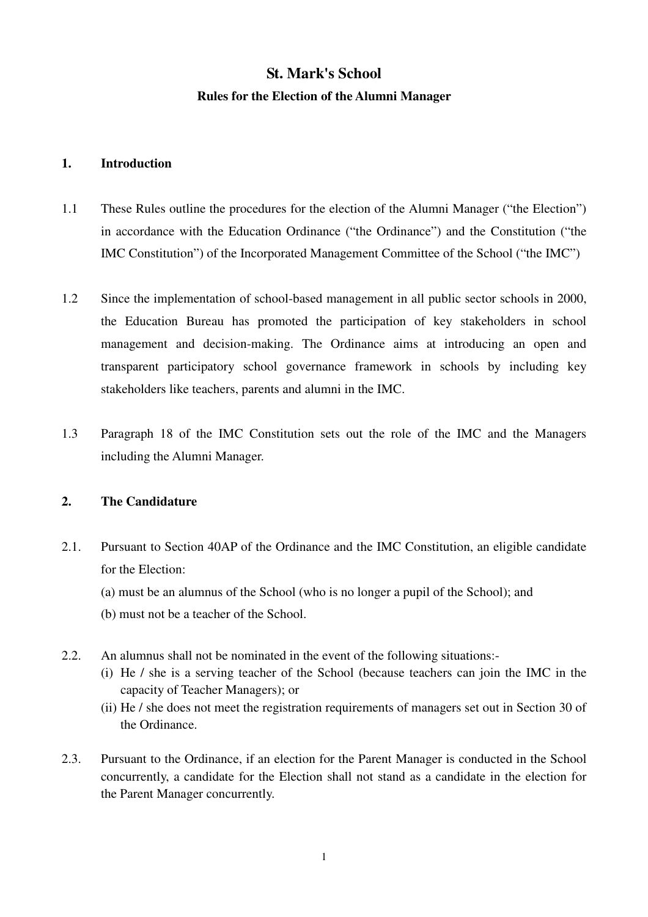# **St. Mark's School Rules for the Election of the Alumni Manager**

### **1. Introduction**

- 1.1 These Rules outline the procedures for the election of the Alumni Manager ("the Election") in accordance with the Education Ordinance ("the Ordinance") and the Constitution ("the IMC Constitution") of the Incorporated Management Committee of the School ("the IMC")
- 1.2 Since the implementation of school-based management in all public sector schools in 2000, the Education Bureau has promoted the participation of key stakeholders in school management and decision-making. The Ordinance aims at introducing an open and transparent participatory school governance framework in schools by including key stakeholders like teachers, parents and alumni in the IMC.
- 1.3 Paragraph 18 of the IMC Constitution sets out the role of the IMC and the Managers including the Alumni Manager.

# **2. The Candidature**

- 2.1. Pursuant to Section 40AP of the Ordinance and the IMC Constitution, an eligible candidate for the Election:
	- (a) must be an alumnus of the School (who is no longer a pupil of the School); and
	- (b) must not be a teacher of the School.
- 2.2. An alumnus shall not be nominated in the event of the following situations:-
	- (i) He / she is a serving teacher of the School (because teachers can join the IMC in the capacity of Teacher Managers); or
	- (ii) He / she does not meet the registration requirements of managers set out in Section 30 of the Ordinance.
- 2.3. Pursuant to the Ordinance, if an election for the Parent Manager is conducted in the School concurrently, a candidate for the Election shall not stand as a candidate in the election for the Parent Manager concurrently.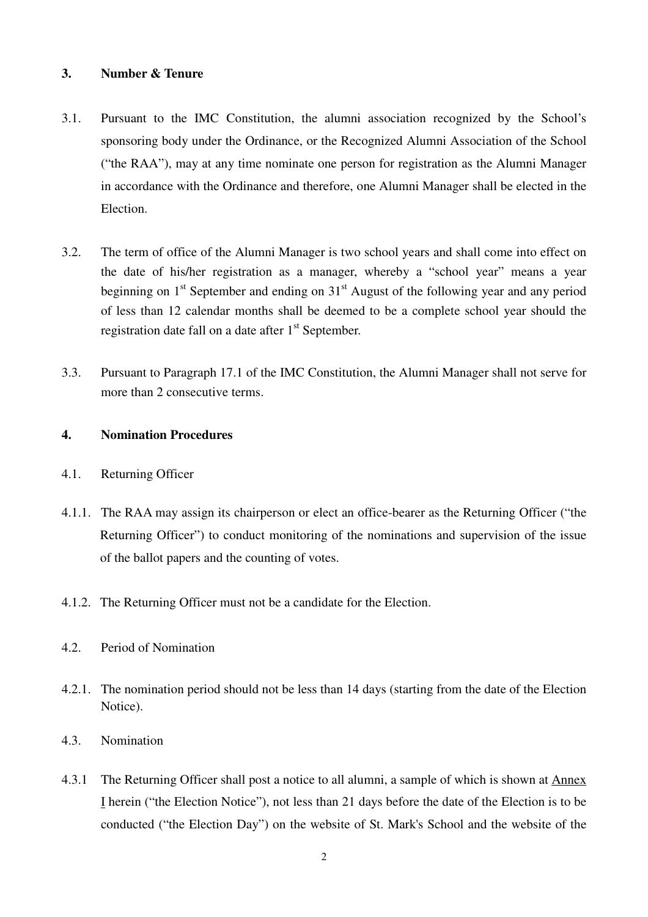### **3. Number & Tenure**

- 3.1. Pursuant to the IMC Constitution, the alumni association recognized by the School's sponsoring body under the Ordinance, or the Recognized Alumni Association of the School ("the RAA"), may at any time nominate one person for registration as the Alumni Manager in accordance with the Ordinance and therefore, one Alumni Manager shall be elected in the Election.
- 3.2. The term of office of the Alumni Manager is two school years and shall come into effect on the date of his/her registration as a manager, whereby a "school year" means a year beginning on  $1<sup>st</sup>$  September and ending on  $31<sup>st</sup>$  August of the following year and any period of less than 12 calendar months shall be deemed to be a complete school year should the registration date fall on a date after  $1<sup>st</sup>$  September.
- 3.3. Pursuant to Paragraph 17.1 of the IMC Constitution, the Alumni Manager shall not serve for more than 2 consecutive terms.

### **4. Nomination Procedures**

- 4.1. Returning Officer
- 4.1.1. The RAA may assign its chairperson or elect an office-bearer as the Returning Officer ("the Returning Officer") to conduct monitoring of the nominations and supervision of the issue of the ballot papers and the counting of votes.
- 4.1.2. The Returning Officer must not be a candidate for the Election.
- 4.2. Period of Nomination
- 4.2.1. The nomination period should not be less than 14 days (starting from the date of the Election Notice).
- 4.3. Nomination
- 4.3.1 The Returning Officer shall post a notice to all alumni, a sample of which is shown at Annex I herein ("the Election Notice"), not less than 21 days before the date of the Election is to be conducted ("the Election Day") on the website of St. Mark's School and the website of the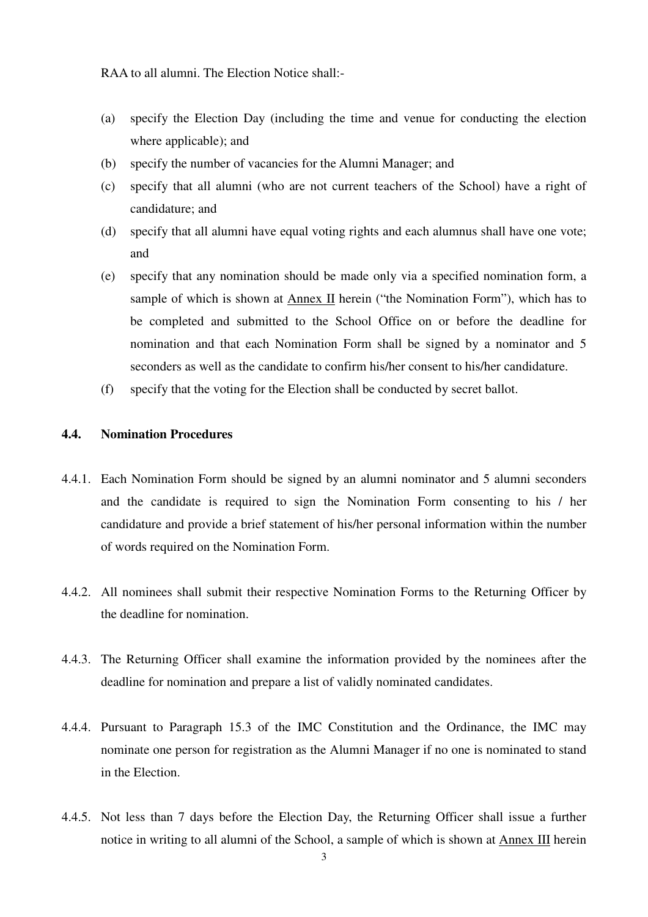RAA to all alumni. The Election Notice shall:-

- (a) specify the Election Day (including the time and venue for conducting the election where applicable); and
- (b) specify the number of vacancies for the Alumni Manager; and
- (c) specify that all alumni (who are not current teachers of the School) have a right of candidature; and
- (d) specify that all alumni have equal voting rights and each alumnus shall have one vote; and
- (e) specify that any nomination should be made only via a specified nomination form, a sample of which is shown at Annex II herein ("the Nomination Form"), which has to be completed and submitted to the School Office on or before the deadline for nomination and that each Nomination Form shall be signed by a nominator and 5 seconders as well as the candidate to confirm his/her consent to his/her candidature.
- (f) specify that the voting for the Election shall be conducted by secret ballot.

### **4.4. Nomination Procedures**

- 4.4.1. Each Nomination Form should be signed by an alumni nominator and 5 alumni seconders and the candidate is required to sign the Nomination Form consenting to his / her candidature and provide a brief statement of his/her personal information within the number of words required on the Nomination Form.
- 4.4.2. All nominees shall submit their respective Nomination Forms to the Returning Officer by the deadline for nomination.
- 4.4.3. The Returning Officer shall examine the information provided by the nominees after the deadline for nomination and prepare a list of validly nominated candidates.
- 4.4.4. Pursuant to Paragraph 15.3 of the IMC Constitution and the Ordinance, the IMC may nominate one person for registration as the Alumni Manager if no one is nominated to stand in the Election.
- 4.4.5. Not less than 7 days before the Election Day, the Returning Officer shall issue a further notice in writing to all alumni of the School, a sample of which is shown at Annex III herein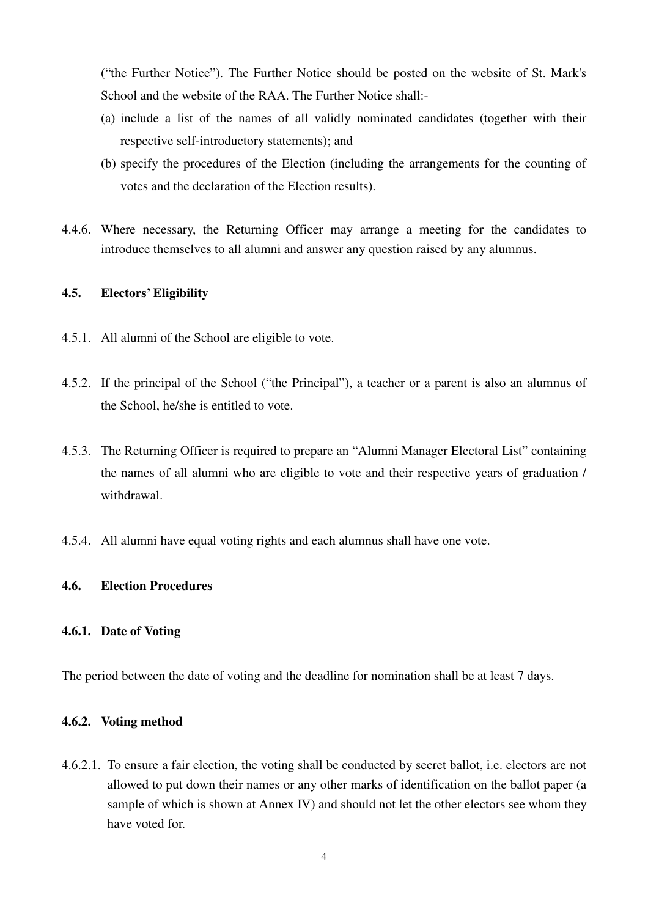("the Further Notice"). The Further Notice should be posted on the website of St. Mark's School and the website of the RAA. The Further Notice shall:-

- (a) include a list of the names of all validly nominated candidates (together with their respective self-introductory statements); and
- (b) specify the procedures of the Election (including the arrangements for the counting of votes and the declaration of the Election results).
- 4.4.6. Where necessary, the Returning Officer may arrange a meeting for the candidates to introduce themselves to all alumni and answer any question raised by any alumnus.

### **4.5. Electors' Eligibility**

- 4.5.1. All alumni of the School are eligible to vote.
- 4.5.2. If the principal of the School ("the Principal"), a teacher or a parent is also an alumnus of the School, he/she is entitled to vote.
- 4.5.3. The Returning Officer is required to prepare an "Alumni Manager Electoral List" containing the names of all alumni who are eligible to vote and their respective years of graduation / withdrawal.
- 4.5.4. All alumni have equal voting rights and each alumnus shall have one vote.

### **4.6. Election Procedures**

### **4.6.1. Date of Voting**

The period between the date of voting and the deadline for nomination shall be at least 7 days.

### **4.6.2. Voting method**

4.6.2.1. To ensure a fair election, the voting shall be conducted by secret ballot, i.e. electors are not allowed to put down their names or any other marks of identification on the ballot paper (a sample of which is shown at Annex IV) and should not let the other electors see whom they have voted for.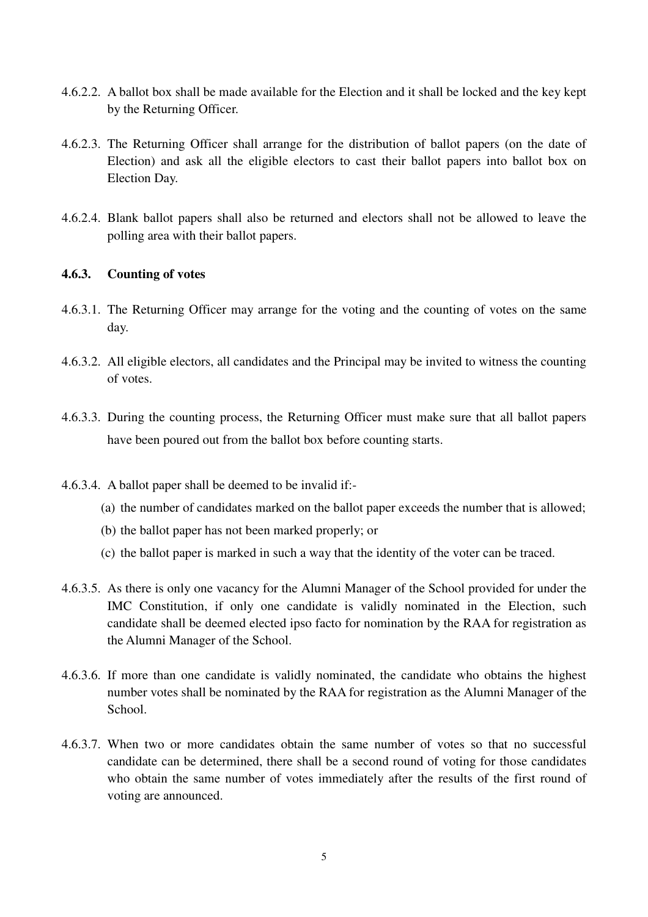- 4.6.2.2. A ballot box shall be made available for the Election and it shall be locked and the key kept by the Returning Officer.
- 4.6.2.3. The Returning Officer shall arrange for the distribution of ballot papers (on the date of Election) and ask all the eligible electors to cast their ballot papers into ballot box on Election Day.
- 4.6.2.4. Blank ballot papers shall also be returned and electors shall not be allowed to leave the polling area with their ballot papers.

### **4.6.3. Counting of votes**

- 4.6.3.1. The Returning Officer may arrange for the voting and the counting of votes on the same day.
- 4.6.3.2. All eligible electors, all candidates and the Principal may be invited to witness the counting of votes.
- 4.6.3.3. During the counting process, the Returning Officer must make sure that all ballot papers have been poured out from the ballot box before counting starts.
- 4.6.3.4. A ballot paper shall be deemed to be invalid if:-
	- (a) the number of candidates marked on the ballot paper exceeds the number that is allowed;
	- (b) the ballot paper has not been marked properly; or
	- (c) the ballot paper is marked in such a way that the identity of the voter can be traced.
- 4.6.3.5. As there is only one vacancy for the Alumni Manager of the School provided for under the IMC Constitution, if only one candidate is validly nominated in the Election, such candidate shall be deemed elected ipso facto for nomination by the RAA for registration as the Alumni Manager of the School.
- 4.6.3.6. If more than one candidate is validly nominated, the candidate who obtains the highest number votes shall be nominated by the RAA for registration as the Alumni Manager of the School.
- 4.6.3.7. When two or more candidates obtain the same number of votes so that no successful candidate can be determined, there shall be a second round of voting for those candidates who obtain the same number of votes immediately after the results of the first round of voting are announced.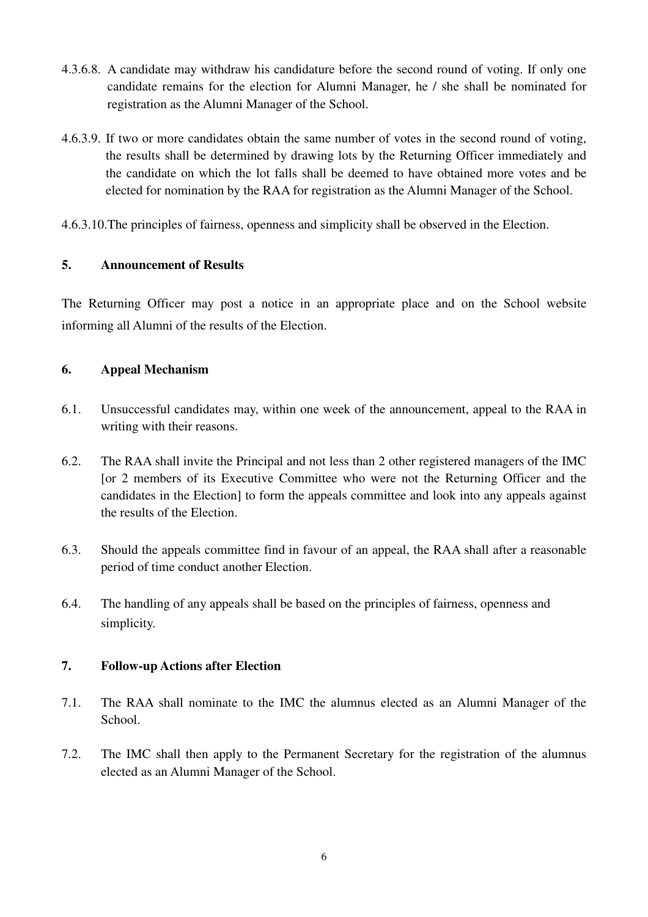- 4.3.6.8. A candidate may withdraw his candidature before the second round of voting. If only one candidate remains for the election for Alumni Manager, he / she shall be nominated for registration as the Alumni Manager of the School.
- 4.6.3.9. If two or more candidates obtain the same number of votes in the second round of voting, the results shall be determined by drawing lots by the Returning Officer immediately and the candidate on which the lot falls shall be deemed to have obtained more votes and be elected for nomination by the RAA for registration as the Alumni Manager of the School.

4.6.3.10.The principles of fairness, openness and simplicity shall be observed in the Election.

# **5. Announcement of Results**

The Returning Officer may post a notice in an appropriate place and on the School website informing all Alumni of the results of the Election.

# **6. Appeal Mechanism**

- 6.1. Unsuccessful candidates may, within one week of the announcement, appeal to the RAA in writing with their reasons.
- 6.2. The RAA shall invite the Principal and not less than 2 other registered managers of the IMC [or 2 members of its Executive Committee who were not the Returning Officer and the candidates in the Election] to form the appeals committee and look into any appeals against the results of the Election.
- 6.3. Should the appeals committee find in favour of an appeal, the RAA shall after a reasonable period of time conduct another Election.
- 6.4. The handling of any appeals shall be based on the principles of fairness, openness and simplicity.

# **7. Follow-up Actions after Election**

- 7.1. The RAA shall nominate to the IMC the alumnus elected as an Alumni Manager of the School.
- 7.2. The IMC shall then apply to the Permanent Secretary for the registration of the alumnus elected as an Alumni Manager of the School.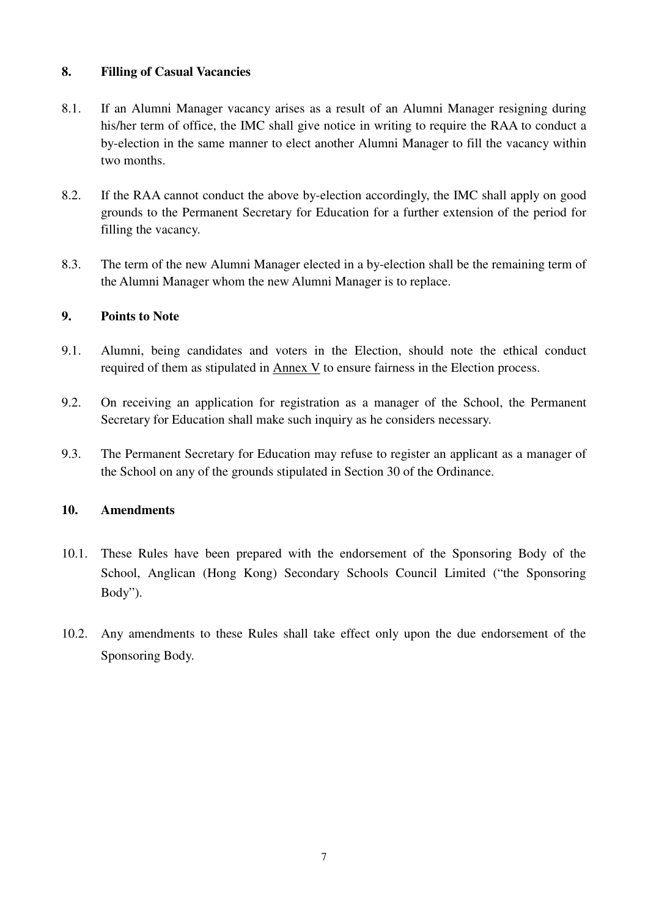# **8. Filling of Casual Vacancies**

- 8.1. If an Alumni Manager vacancy arises as a result of an Alumni Manager resigning during his/her term of office, the IMC shall give notice in writing to require the RAA to conduct a by-election in the same manner to elect another Alumni Manager to fill the vacancy within two months.
- 8.2. If the RAA cannot conduct the above by-election accordingly, the IMC shall apply on good grounds to the Permanent Secretary for Education for a further extension of the period for filling the vacancy.
- 8.3. The term of the new Alumni Manager elected in a by-election shall be the remaining term of the Alumni Manager whom the new Alumni Manager is to replace.

# **9. Points to Note**

- 9.1. Alumni, being candidates and voters in the Election, should note the ethical conduct required of them as stipulated in Annex V to ensure fairness in the Election process.
- 9.2. On receiving an application for registration as a manager of the School, the Permanent Secretary for Education shall make such inquiry as he considers necessary.
- 9.3. The Permanent Secretary for Education may refuse to register an applicant as a manager of the School on any of the grounds stipulated in Section 30 of the Ordinance.

# **10. Amendments**

- 10.1. These Rules have been prepared with the endorsement of the Sponsoring Body of the School, Anglican (Hong Kong) Secondary Schools Council Limited ("the Sponsoring Body").
- 10.2. Any amendments to these Rules shall take effect only upon the due endorsement of the Sponsoring Body.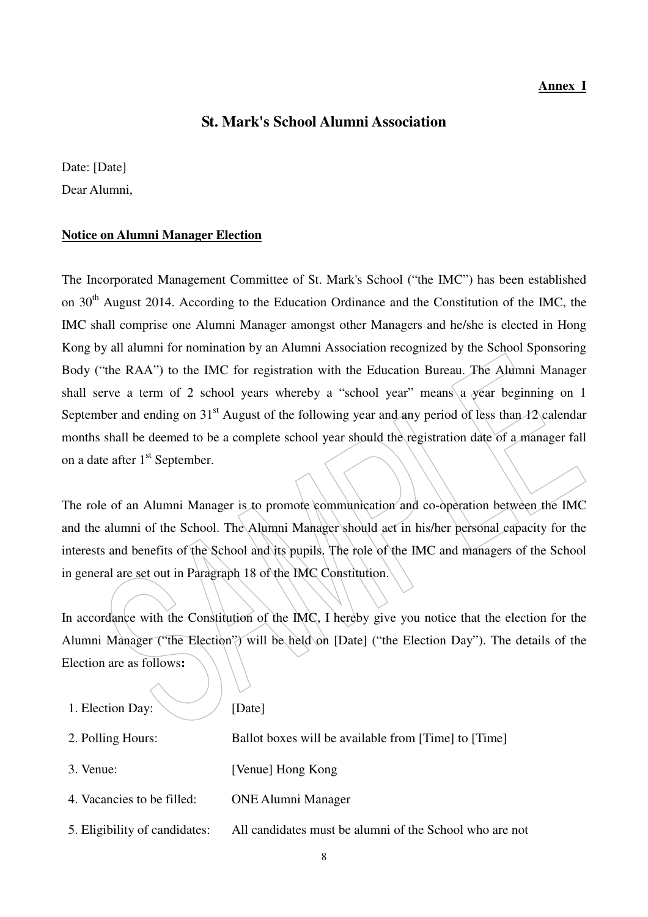### **Annex I**

# **St. Mark's School Alumni Association**

Date: [Date] Dear Alumni,

### **Notice on Alumni Manager Election**

The Incorporated Management Committee of St. Mark's School ("the IMC") has been established on 30<sup>th</sup> August 2014. According to the Education Ordinance and the Constitution of the IMC, the IMC shall comprise one Alumni Manager amongst other Managers and he/she is elected in Hong Kong by all alumni for nomination by an Alumni Association recognized by the School Sponsoring Body ("the RAA") to the IMC for registration with the Education Bureau. The Alumni Manager shall serve a term of 2 school years whereby a "school year" means a year beginning on 1 September and ending on 31<sup>st</sup> August of the following year and any period of less than 12 calendar months shall be deemed to be a complete school year should the registration date of a manager fall on a date after 1<sup>st</sup> September.

The role of an Alumni Manager is to promote communication and co-operation between the IMC and the alumni of the School. The Alumni Manager should act in his/her personal capacity for the interests and benefits of the School and its pupils. The role of the IMC and managers of the School in general are set out in Paragraph 18 of the IMC Constitution.

In accordance with the Constitution of the IMC, I hereby give you notice that the election for the Alumni Manager ("the Election") will be held on [Date] ("the Election Day"). The details of the Election are as follows**:**

| 1. Election Day:              | [Date]                                                  |
|-------------------------------|---------------------------------------------------------|
| 2. Polling Hours:             | Ballot boxes will be available from [Time] to [Time]    |
| 3. Venue:                     | [Venue] Hong Kong                                       |
| 4. Vacancies to be filled:    | <b>ONE Alumni Manager</b>                               |
| 5. Eligibility of candidates: | All candidates must be alumni of the School who are not |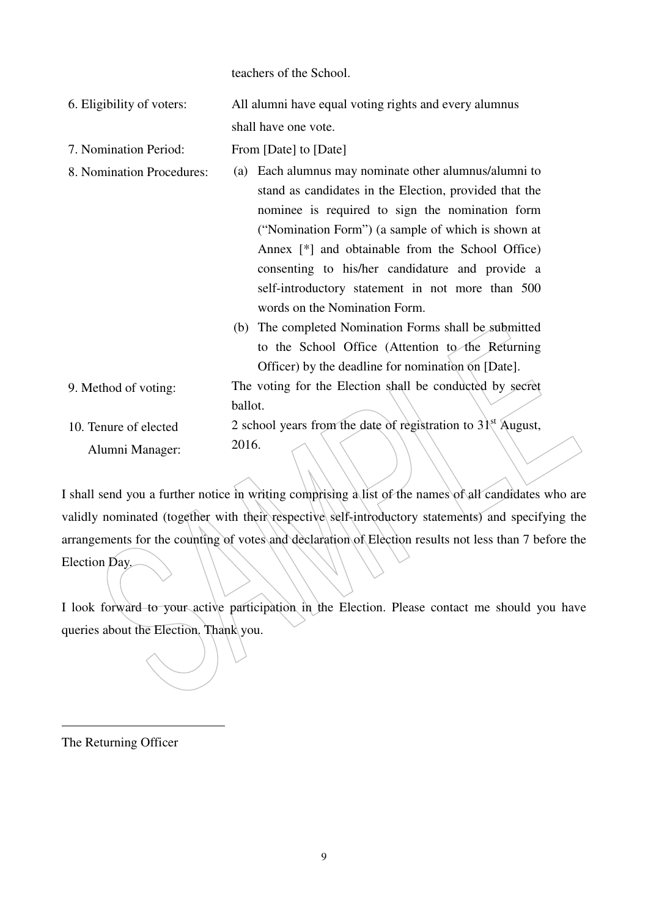teachers of the School.

| 6. Eligibility of voters: | All alumni have equal voting rights and every alumnus |
|---------------------------|-------------------------------------------------------|
|                           | shall have one vote.                                  |

- 7. Nomination Period: From [Date] to [Date]
- 8. Nomination Procedures: (a) Each alumnus may nominate other alumnus/alumni to stand as candidates in the Election, provided that the nominee is required to sign the nomination form ("Nomination Form") (a sample of which is shown at Annex [\*] and obtainable from the School Office) consenting to his/her candidature and provide a self-introductory statement in not more than 500 words on the Nomination Form.
	- (b) The completed Nomination Forms shall be submitted to the School Office (Attention to the Returning Officer) by the deadline for nomination on [Date].
- 9. Method of voting: The voting for the Election shall be conducted by secret ballot.

#### 10. Tenure of elected Alumni Manager: 2 school years from the date of registration to  $31<sup>st</sup>$  August, 2016.

I shall send you a further notice in writing comprising a list of the names of all candidates who are validly nominated (together with their respective self-introductory statements) and specifying the arrangements for the counting of votes and declaration of Election results not less than 7 before the Election Day.

I look forward to your active participation in the Election. Please contact me should you have queries about the Election. Thank you.

The Returning Officer

 $\overline{a}$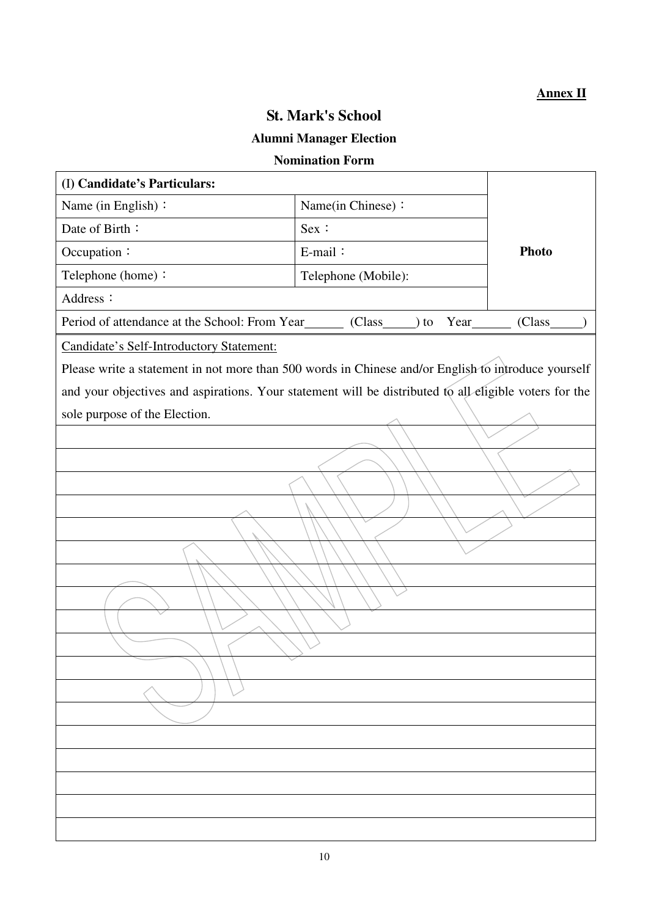# **Annex II**

# **St. Mark's School**

# **Alumni Manager Election**

# **Nomination Form**

| (I) Candidate's Particulars:                                                                           |                     |              |  |  |  |  |  |
|--------------------------------------------------------------------------------------------------------|---------------------|--------------|--|--|--|--|--|
| Name (in English):                                                                                     | Name(in Chinese):   |              |  |  |  |  |  |
| Date of Birth:                                                                                         | Sex :               |              |  |  |  |  |  |
| Occupation:                                                                                            | E-mail:             | <b>Photo</b> |  |  |  |  |  |
| Telephone (home):                                                                                      | Telephone (Mobile): |              |  |  |  |  |  |
| Address:                                                                                               |                     |              |  |  |  |  |  |
| Period of attendance at the School: From Year_______ (Class_____) to Year_______                       |                     | (Class       |  |  |  |  |  |
| Candidate's Self-Introductory Statement:                                                               |                     |              |  |  |  |  |  |
| Please write a statement in not more than 500 words in Chinese and/or English to introduce yourself    |                     |              |  |  |  |  |  |
| and your objectives and aspirations. Your statement will be distributed to all eligible voters for the |                     |              |  |  |  |  |  |
| sole purpose of the Election.                                                                          |                     |              |  |  |  |  |  |
|                                                                                                        |                     |              |  |  |  |  |  |
|                                                                                                        |                     |              |  |  |  |  |  |
|                                                                                                        |                     |              |  |  |  |  |  |
|                                                                                                        |                     |              |  |  |  |  |  |
|                                                                                                        |                     |              |  |  |  |  |  |
|                                                                                                        |                     |              |  |  |  |  |  |
|                                                                                                        |                     |              |  |  |  |  |  |
|                                                                                                        |                     |              |  |  |  |  |  |
|                                                                                                        |                     |              |  |  |  |  |  |
|                                                                                                        |                     |              |  |  |  |  |  |
|                                                                                                        |                     |              |  |  |  |  |  |
|                                                                                                        |                     |              |  |  |  |  |  |
|                                                                                                        |                     |              |  |  |  |  |  |
|                                                                                                        |                     |              |  |  |  |  |  |
|                                                                                                        |                     |              |  |  |  |  |  |
|                                                                                                        |                     |              |  |  |  |  |  |
|                                                                                                        |                     |              |  |  |  |  |  |
|                                                                                                        |                     |              |  |  |  |  |  |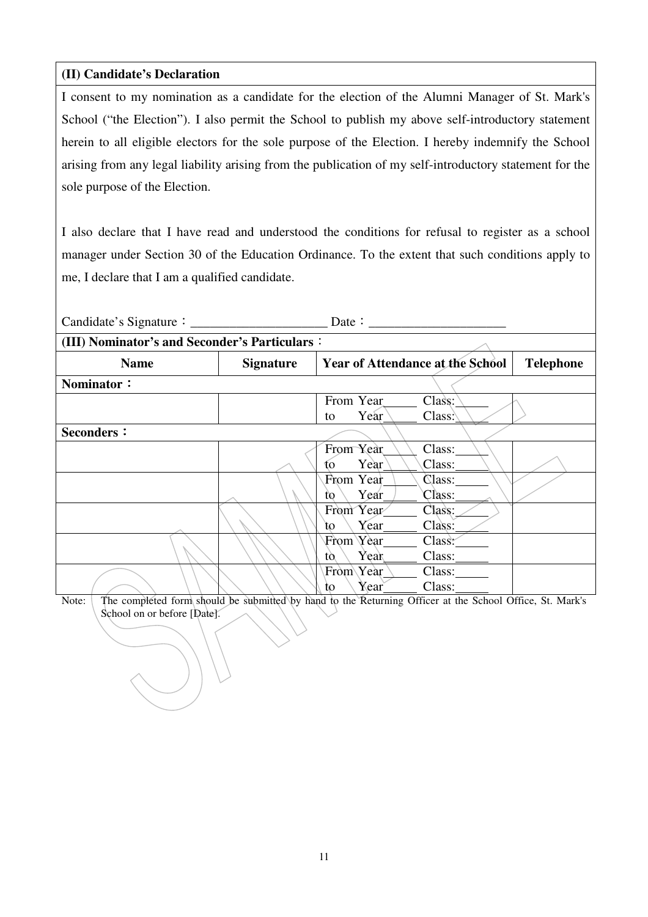# **(II) Candidate's Declaration**

I consent to my nomination as a candidate for the election of the Alumni Manager of St. Mark's School ("the Election"). I also permit the School to publish my above self-introductory statement herein to all eligible electors for the sole purpose of the Election. I hereby indemnify the School arising from any legal liability arising from the publication of my self-introductory statement for the sole purpose of the Election.

I also declare that I have read and understood the conditions for refusal to register as a school manager under Section 30 of the Education Ordinance. To the extent that such conditions apply to me, I declare that I am a qualified candidate.

| (III) Nominator's and Seconder's Particulars: |                  |                                         |        |                         |  |  |  |
|-----------------------------------------------|------------------|-----------------------------------------|--------|-------------------------|--|--|--|
| <b>Name</b>                                   | <b>Signature</b> | <b>Year of Attendance at the School</b> |        | <b>Telephone</b>        |  |  |  |
| Nominator:                                    |                  |                                         |        |                         |  |  |  |
|                                               |                  | From Year                               | Class: |                         |  |  |  |
|                                               |                  | Year<br>to                              | Class  |                         |  |  |  |
| <b>Seconders:</b>                             |                  |                                         |        |                         |  |  |  |
|                                               |                  | From Year                               | Class: |                         |  |  |  |
|                                               |                  | Year<br>to                              | Class: |                         |  |  |  |
|                                               |                  | From Year                               | Class: |                         |  |  |  |
|                                               |                  | Year<br>to                              | Class: |                         |  |  |  |
|                                               |                  | From Year                               | Class: |                         |  |  |  |
|                                               |                  | Year<br>to.                             | Class: |                         |  |  |  |
|                                               |                  | From Year                               | Class. |                         |  |  |  |
|                                               |                  | Year<br>tò.                             | Class: |                         |  |  |  |
|                                               |                  | From\Year                               | Class: |                         |  |  |  |
|                                               |                  | Year<br>to                              | Class: | $\sim$ $\sim$<br>$\sim$ |  |  |  |

Note: The completed form should be submitted by hand to the Returning Officer at the School Office, St. Mark's School on or before [Date].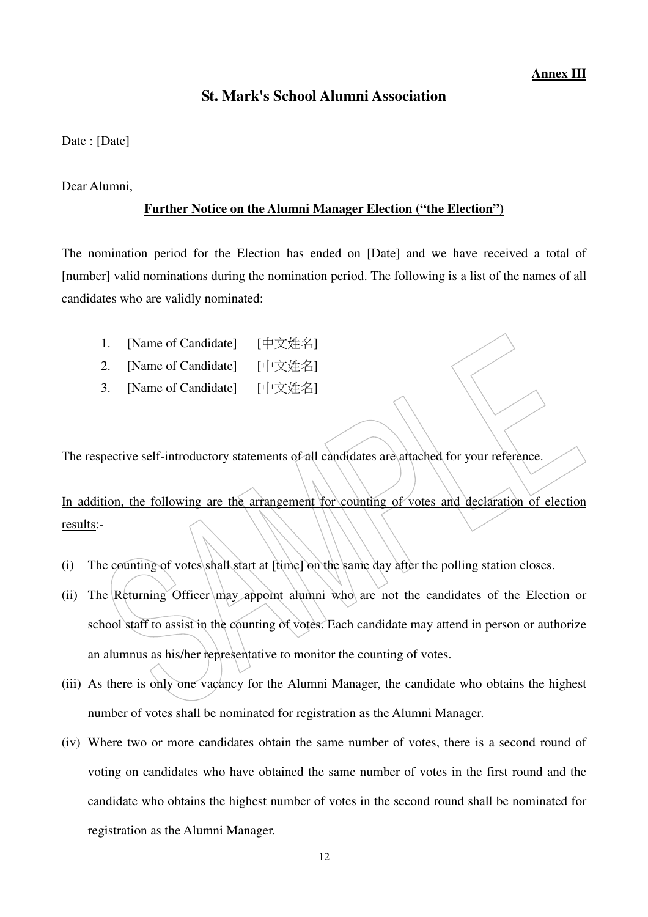### **St. Mark's School Alumni Association**

Date : [Date]

Dear Alumni,

### **Further Notice on the Alumni Manager Election ("the Election")**

The nomination period for the Election has ended on [Date] and we have received a total of [number] valid nominations during the nomination period. The following is a list of the names of all candidates who are validly nominated:

- 1. [Name of Candidate] [中文姓名]
- 2. [Name of Candidate] [中文姓名]
- 3. [Name of Candidate] [中文姓名]

The respective self-introductory statements of all candidates are attached for your reference.

In addition, the following are the arrangement for counting of votes and declaration of election results:-

- (i) The counting of votes shall start at [time] on the same day after the polling station closes.
- (ii) The Returning Officer may appoint alumni who are not the candidates of the Election or school staff to assist in the counting of votes. Each candidate may attend in person or authorize an alumnus as his/her representative to monitor the counting of votes.
- (iii) As there is only one vacancy for the Alumni Manager, the candidate who obtains the highest number of votes shall be nominated for registration as the Alumni Manager.
- (iv) Where two or more candidates obtain the same number of votes, there is a second round of voting on candidates who have obtained the same number of votes in the first round and the candidate who obtains the highest number of votes in the second round shall be nominated for registration as the Alumni Manager.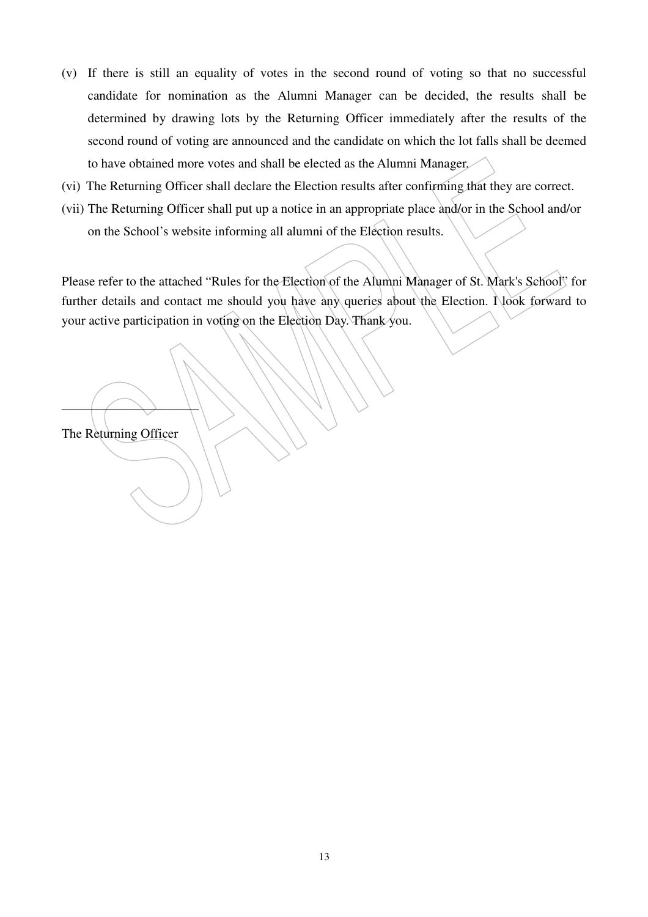- (v) If there is still an equality of votes in the second round of voting so that no successful candidate for nomination as the Alumni Manager can be decided, the results shall be determined by drawing lots by the Returning Officer immediately after the results of the second round of voting are announced and the candidate on which the lot falls shall be deemed to have obtained more votes and shall be elected as the Alumni Manager.
- (vi) The Returning Officer shall declare the Election results after confirming that they are correct.
- (vii) The Returning Officer shall put up a notice in an appropriate place and/or in the School and/or on the School's website informing all alumni of the Election results.

Please refer to the attached "Rules for the Election of the Alumni Manager of St. Mark's School" for further details and contact me should you have any queries about the Election. Nook forward to your active participation in voting on the Election Day. Thank you.

The Returning Officer

 $\longrightarrow$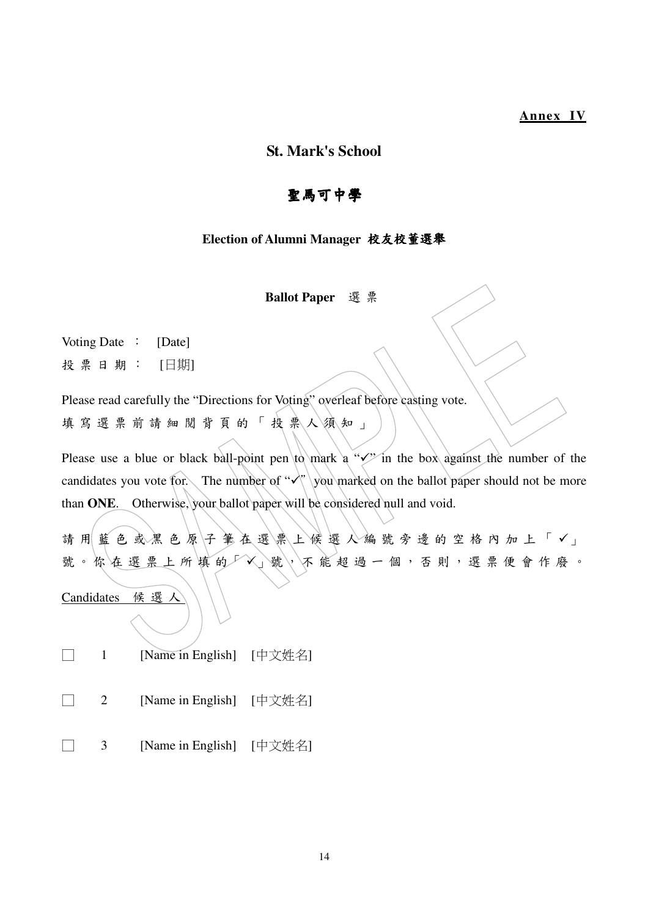### **Annex IV**

### **St. Mark's School**

# 聖馬可中學

### **Election of Alumni Manager** 校友校董選舉

**Ballot Paper** 選 票

Voting Date : [Date] 投 票 日 期 : [日期]

Please read carefully the "Directions for Voting" overleaf before casting vote. 填 寫 選 票 前 請 細 閲 背 頁 的 「 投 票 人 須 知 」

Please use a blue or black ball-point pen  $\downarrow$  to mark a " $\checkmark$ " in the box against the number of the candidates you vote for. The number of " $\checkmark$ " you marked on the ballot paper should not be more than **ONE**. Otherwise, your ballot paper will be considered null and void.

請用 藍色 或黑色原子 笔在選票上候選人編號旁邊的空格內加上「√」 號。你在選票上所填的厂X」號, 不能超過一個, 否則, 選票便會作廢。

Candidates 候 選 人

- □ 1 [Name in English] [中文姓名]
- □ 2 [Name in English] [中文姓名]
- □ 3 [Name in English] [中文姓名]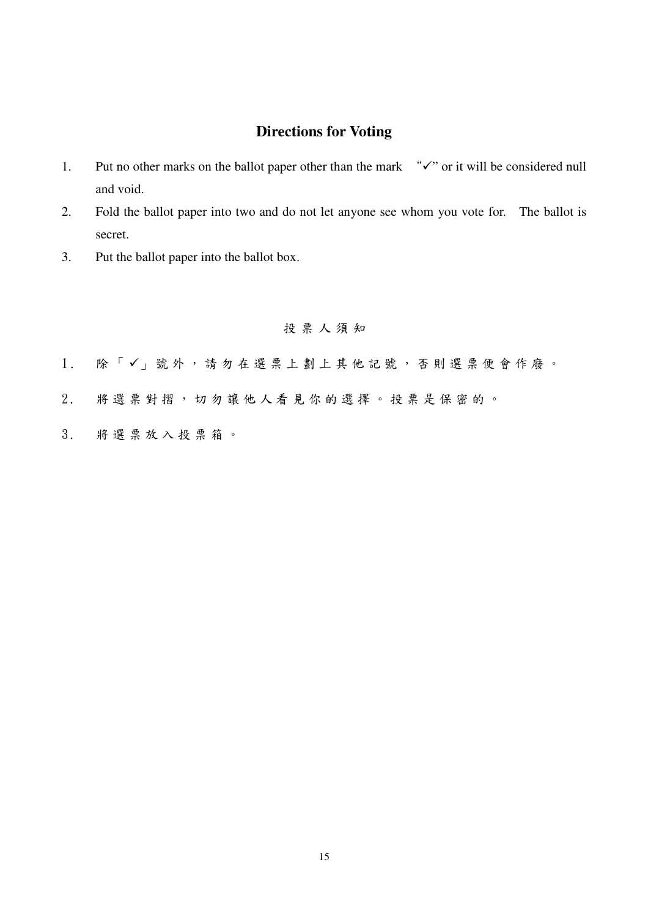# **Directions for Voting**

- 1. Put no other marks on the ballot paper other than the mark  $\sqrt{\ }$  or it will be considered null and void.
- 2. Fold the ballot paper into two and do not let anyone see whom you vote for. The ballot is secret.
- 3. Put the ballot paper into the ballot box.

# 投票人須知

- 1. 除「√」號外,請勿在選票上劃上其他記號,否則選票便會作廢。
- 2 . 將 選 票 對 摺 , 切 勿 讓 他 人 看 見 你 的 選 擇 。 投 票 是 保 密 的 。
- 3 . 將 選 票 放 入 投 票 箱 。